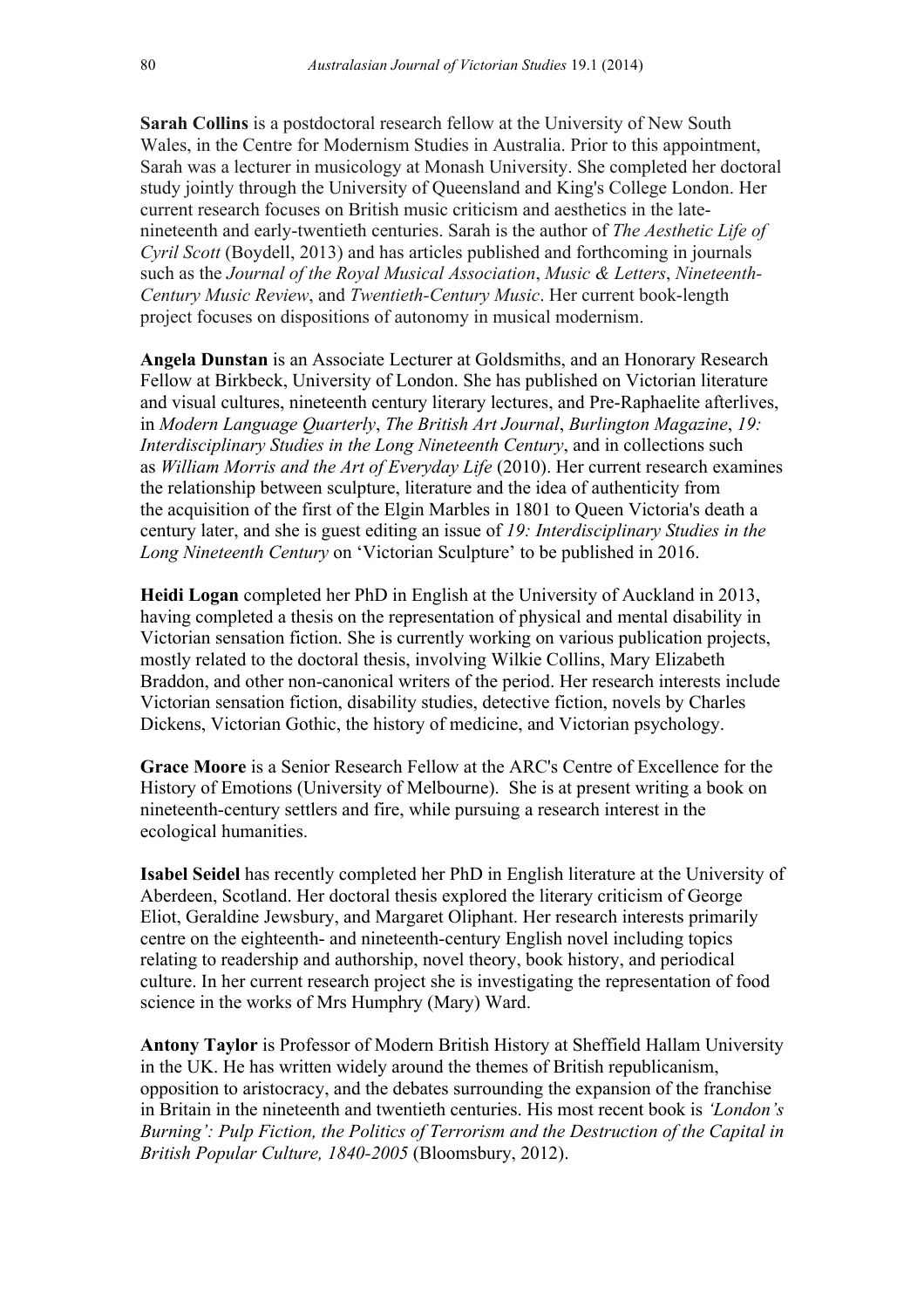**Sarah Collins** is a postdoctoral research fellow at the University of New South Wales, in the Centre for Modernism Studies in Australia. Prior to this appointment, Sarah was a lecturer in musicology at Monash University. She completed her doctoral study jointly through the University of Queensland and King's College London. Her current research focuses on British music criticism and aesthetics in the latenineteenth and early-twentieth centuries. Sarah is the author of *The Aesthetic Life of Cyril Scott* (Boydell, 2013) and has articles published and forthcoming in journals such as the *Journal of the Royal Musical Association*, *Music & Letters*, *Nineteenth-Century Music Review*, and *Twentieth-Century Music*. Her current book-length project focuses on dispositions of autonomy in musical modernism.

**Angela Dunstan** is an Associate Lecturer at Goldsmiths, and an Honorary Research Fellow at Birkbeck, University of London. She has published on Victorian literature and visual cultures, nineteenth century literary lectures, and Pre-Raphaelite afterlives, in *Modern Language Quarterly*, *The British Art Journal*, *Burlington Magazine*, *19: Interdisciplinary Studies in the Long Nineteenth Century*, and in collections such as *William Morris and the Art of Everyday Life* (2010). Her current research examines the relationship between sculpture, literature and the idea of authenticity from the acquisition of the first of the Elgin Marbles in 1801 to Queen Victoria's death a century later, and she is guest editing an issue of *19: Interdisciplinary Studies in the Long Nineteenth Century* on 'Victorian Sculpture' to be published in 2016.

**Heidi Logan** completed her PhD in English at the University of Auckland in 2013, having completed a thesis on the representation of physical and mental disability in Victorian sensation fiction. She is currently working on various publication projects, mostly related to the doctoral thesis, involving Wilkie Collins, Mary Elizabeth Braddon, and other non-canonical writers of the period. Her research interests include Victorian sensation fiction, disability studies, detective fiction, novels by Charles Dickens, Victorian Gothic, the history of medicine, and Victorian psychology.

**Grace Moore** is a Senior Research Fellow at the ARC's Centre of Excellence for the History of Emotions (University of Melbourne). She is at present writing a book on nineteenth-century settlers and fire, while pursuing a research interest in the ecological humanities.

**Isabel Seidel** has recently completed her PhD in English literature at the University of Aberdeen, Scotland. Her doctoral thesis explored the literary criticism of George Eliot, Geraldine Jewsbury, and Margaret Oliphant. Her research interests primarily centre on the eighteenth- and nineteenth-century English novel including topics relating to readership and authorship, novel theory, book history, and periodical culture. In her current research project she is investigating the representation of food science in the works of Mrs Humphry (Mary) Ward.

**Antony Taylor** is Professor of Modern British History at Sheffield Hallam University in the UK. He has written widely around the themes of British republicanism, opposition to aristocracy, and the debates surrounding the expansion of the franchise in Britain in the nineteenth and twentieth centuries. His most recent book is *'London's Burning': Pulp Fiction, the Politics of Terrorism and the Destruction of the Capital in British Popular Culture, 1840-2005* (Bloomsbury, 2012).